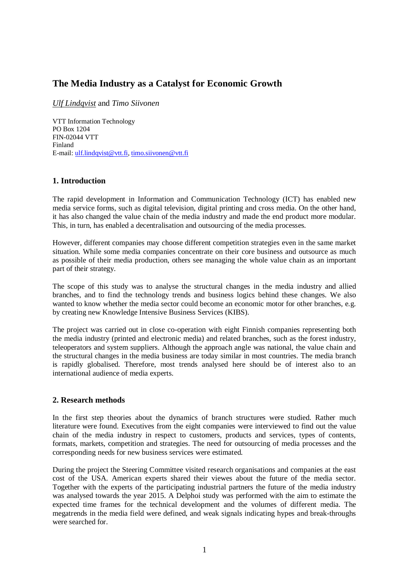# **The Media Industry as a Catalyst for Economic Growth**

*Ulf Lindqvist* and *Timo Siivonen*

VTT Information Technology PO Box 1204 FIN-02044 VTT Finland E-mail: [ulf.lindqvist@vtt.fi](mailto:ulf.lindqvist@vtt.fi), [timo.siivonen@vtt.fi](mailto:timo.siivonen@vtt.fi)

### **1. Introduction**

The rapid development in Information and Communication Technology (ICT) has enabled new media service forms, such as digital television, digital printing and cross media. On the other hand, it has also changed the value chain of the media industry and made the end product more modular. This, in turn, has enabled a decentralisation and outsourcing of the media processes.

However, different companies may choose different competition strategies even in the same market situation. While some media companies concentrate on their core business and outsource as much as possible of their media production, others see managing the whole value chain as an important part of their strategy.

The scope of this study was to analyse the structural changes in the media industry and allied branches, and to find the technology trends and business logics behind these changes. We also wanted to know whether the media sector could become an economic motor for other branches, e.g. by creating new Knowledge Intensive Business Services (KIBS).

The project was carried out in close co-operation with eight Finnish companies representing both the media industry (printed and electronic media) and related branches, such as the forest industry, teleoperators and system suppliers. Although the approach angle was national, the value chain and the structural changes in the media business are today similar in most countries. The media branch is rapidly globalised. Therefore, most trends analysed here should be of interest also to an international audience of media experts.

### **2. Research methods**

In the first step theories about the dynamics of branch structures were studied. Rather much literature were found. Executives from the eight companies were interviewed to find out the value chain of the media industry in respect to customers, products and services, types of contents, formats, markets, competition and strategies. The need for outsourcing of media processes and the corresponding needs for new business services were estimated.

During the project the Steering Committee visited research organisations and companies at the east cost of the USA. American experts shared their viewes about the future of the media sector. Together with the experts of the participating industrial partners the future of the media industry was analysed towards the year 2015. A Delphoi study was performed with the aim to estimate the expected time frames for the technical development and the volumes of different media. The megatrends in the media field were defined, and weak signals indicating hypes and break-throughs were searched for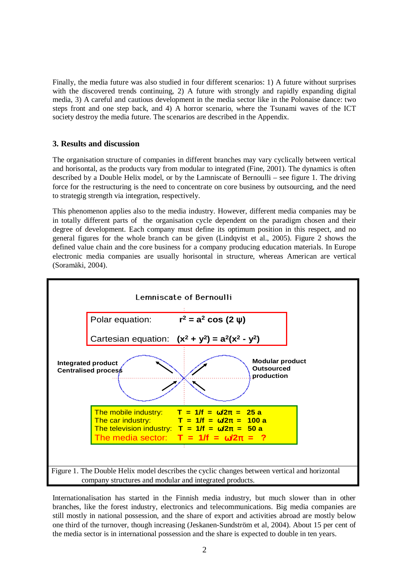Finally, the media future was also studied in four different scenarios: 1) A future without surprises with the discovered trends continuing, 2) A future with strongly and rapidly expanding digital media, 3) A careful and cautious development in the media sector like in the Polonaise dance: two steps front and one step back, and 4) A horror scenario, where the Tsunami waves of the ICT society destroy the media future. The scenarios are described in the Appendix.

### **3. Results and discussion**

The organisation structure of companies in different branches may vary cyclically between vertical and horisontal, as the products vary from modular to integrated (Fine, 2001). The dynamics is often described by a Double Helix model, or by the Lamniscate of Bernoulli – see figure 1. The driving force for the restructuring is the need to concentrate on core business by outsourcing, and the need to strategig strength via integration, respectively.

This phenomenon applies also to the media industry. However, different media companies may be in totally different parts of the organisation cycle dependent on the paradigm chosen and their degree of development. Each company must define its optimum position in this respect, and no general figures for the whole branch can be given (Lindqvist et al., 2005). Figure 2 shows the defined value chain and the core business for a company producing education materials. In Europe electronic media companies are usually horisontal in structure, whereas American are vertical (Soramäki, 2004).



Internationalisation has started in the Finnish media industry, but much slower than in other branches, like the forest industry, electronics and telecommunications. Big media companies are still mostly in national possession, and the share of export and activities abroad are mostly below one third of the turnover, though increasing (Jeskanen-Sundström et al, 2004). About 15 per cent of the media sector is in international possession and the share is expected to double in ten years.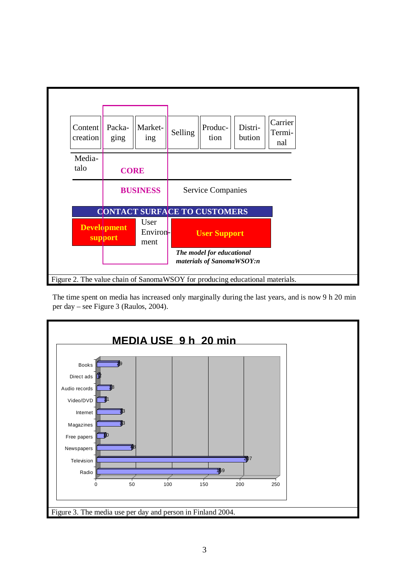

The time spent on media has increased only marginally during the last years, and is now 9 h 20 min per day – see Figure 3 (Raulos, 2004).

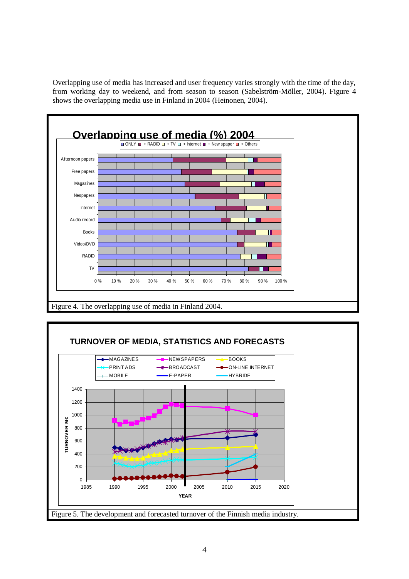Overlapping use of media has increased and user frequency varies strongly with the time of the day, from working day to weekend, and from season to season (Sabelström-Möller, 2004). Figure 4 shows the overlapping media use in Finland in 2004 (Heinonen, 2004).



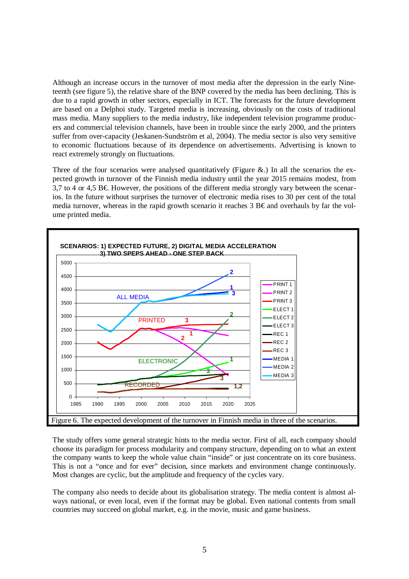Although an increase occurs in the turnover of most media after the depression in the early Nineteenth (see figure 5), the relative share of the BNP covered by the media has been declining. This is due to a rapid growth in other sectors, especially in ICT. The forecasts for the future development are based on a Delphoi study. Targeted media is increasing, obviously on the costs of traditional mass media. Many suppliers to the media industry, like independent television programme producers and commercial television channels, have been in trouble since the early 2000, and the printers suffer from over-capacity (Jeskanen-Sundström et al, 2004). The media sector is also very sensitive to economic fluctuations because of its dependence on advertisements. Advertising is known to react extremely strongly on fluctuations.

Three of the four scenarios were analysed quantitatively (Figure  $\&$ .) In all the scenarios the expected growth in turnover of the Finnish media industry until the year 2015 remains modest, from 3,7 to 4 or 4,5 B $\epsilon$ . However, the positions of the different media strongly vary between the scenarios. In the future without surprises the turnover of electronic media rises to 30 per cent of the total media turnover, whereas in the rapid growth scenario it reaches 3  $B \epsilon$  and overhauls by far the volume printed media.



The study offers some general strategic hints to the media sector. First of all, each company should choose its paradigm for process modularity and company structure, depending on to what an extent the company wants to keep the whole value chain "inside" or just concentrate on its core business. This is not a "once and for ever" decision, since markets and environment change continuously. Most changes are cyclic, but the amplitude and frequency of the cycles vary.

The company also needs to decide about its globalisation strategy. The media content is almost always national, or even local, even if the format may be global. Even national contents from small countries may succeed on global market, e.g. in the movie, music and game business.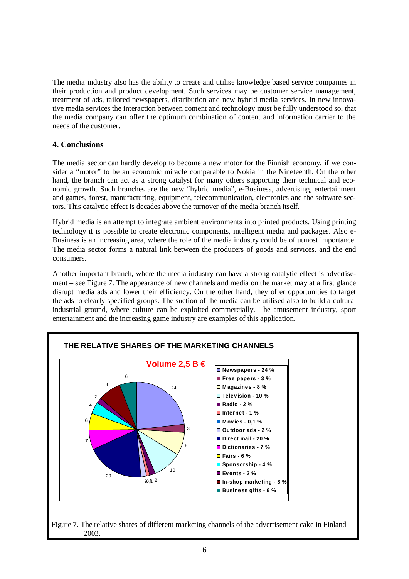The media industry also has the ability to create and utilise knowledge based service companies in their production and product development. Such services may be customer service management, treatment of ads, tailored newspapers, distribution and new hybrid media services. In new innovative media services the interaction between content and technology must be fully understood so, that the media company can offer the optimum combination of content and information carrier to the needs of the customer.

## **4. Conclusions**

The media sector can hardly develop to become a new motor for the Finnish economy, if we consider a "motor" to be an economic miracle comparable to Nokia in the Nineteenth. On the other hand, the branch can act as a strong catalyst for many others supporting their technical and economic growth. Such branches are the new "hybrid media", e-Business, advertising, entertainment and games, forest, manufacturing, equipment, telecommunication, electronics and the software sectors. This catalytic effect is decades above the turnover of the media branch itself.

Hybrid media is an attempt to integrate ambient environments into printed products. Using printing technology it is possible to create electronic components, intelligent media and packages. Also e-Business is an increasing area, where the role of the media industry could be of utmost importance. The media sector forms a natural link between the producers of goods and services, and the end consumers.

Another important branch, where the media industry can have a strong catalytic effect is advertisement – see Figure 7. The appearance of new channels and media on the market may at a first glance disrupt media ads and lower their efficiency. On the other hand, they offer opportunities to target the ads to clearly specified groups. The suction of the media can be utilised also to build a cultural industrial ground, where culture can be exploited commercially. The amusement industry, sport entertainment and the increasing game industry are examples of this application.

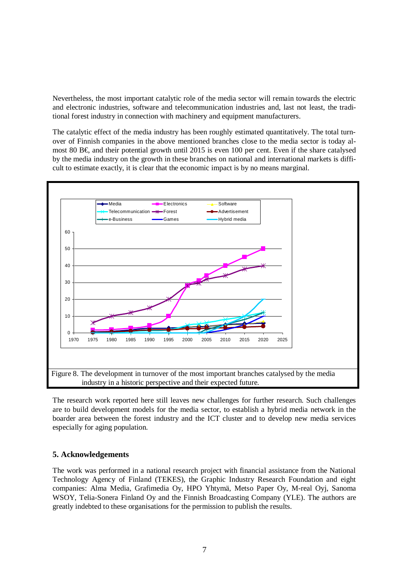Nevertheless, the most important catalytic role of the media sector will remain towards the electric and electronic industries, software and telecommunication industries and, last not least, the traditional forest industry in connection with machinery and equipment manufacturers.

The catalytic effect of the media industry has been roughly estimated quantitatively. The total turnover of Finnish companies in the above mentioned branches close to the media sector is today almost 80 B  $\epsilon$  and their potential growth until 2015 is even 100 per cent. Even if the share catalysed by the media industry on the growth in these branches on national and international markets is difficult to estimate exactly, it is clear that the economic impact is by no means marginal.



The research work reported here still leaves new challenges for further research. Such challenges are to build development models for the media sector, to establish a hybrid media network in the boarder area between the forest industry and the ICT cluster and to develop new media services especially for aging population.

### **5. Acknowledgements**

The work was performed in a national research project with financial assistance from the National Technology Agency of Finland (TEKES), the Graphic Industry Research Foundation and eight companies: Alma Media, Grafimedia Oy, HPO Yhtymä, Metso Paper Oy, M-real Oyj, Sanoma WSOY, Telia-Sonera Finland Oy and the Finnish Broadcasting Company (YLE). The authors are greatly indebted to these organisations for the permission to publish the results.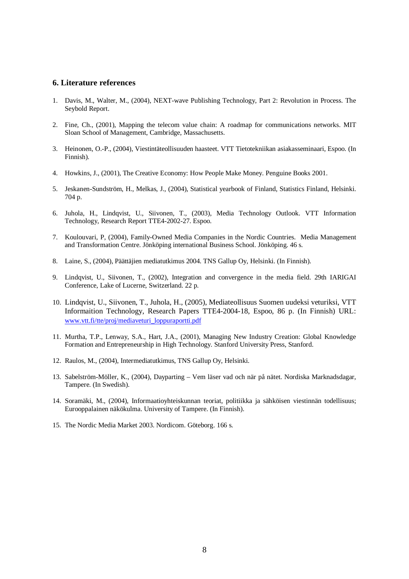#### **6. Literature references**

- 1. Davis, M., Walter, M., (2004), NEXT-wave Publishing Technology, Part 2: Revolution in Process. The Seybold Report.
- 2. Fine, Ch., (2001), Mapping the telecom value chain: A roadmap for communications networks. MIT Sloan School of Management, Cambridge, Massachusetts.
- 3. Heinonen, O.-P., (2004), Viestintäteollisuuden haasteet. VTT Tietotekniikan asiakasseminaari, Espoo. (In Finnish).
- 4. Howkins, J., (2001), The Creative Economy: How People Make Money. Penguine Books 2001.
- 5. Jeskanen-Sundström, H., Melkas, J., (2004), Statistical yearbook of Finland, Statistics Finland, Helsinki. 704 p.
- 6. Juhola, H., Lindqvist, U., Siivonen, T., (2003), Media Technology Outlook. VTT Information Technology, Research Report TTE4-2002-27. Espoo.
- 7. Koulouvari, P, (2004), Family-Owned Media Companies in the Nordic Countries. Media Management and Transformation Centre. Jönköping international Business School. Jönköping. 46 s.
- 8. Laine, S., (2004), Päättäjien mediatutkimus 2004. TNS Gallup Oy, Helsinki. (In Finnish).
- 9. Lindqvist, U., Siivonen, T., (2002), Integration and convergence in the media field. 29th IARIGAI Conference, Lake of Lucerne, Switzerland. 22 p.
- 10. Lindqvist, U., Siivonen, T., Juhola, H., (2005), Mediateollisuus Suomen uudeksi veturiksi, VTT Informaition Technology, Research Papers TTE4-2004-18, Espoo, 86 p. (In Finnish) URL: [www.vtt.fi/tte/proj/mediaveturi\\_loppuraportti.pdf](http://www.vtt.fi/tte/proj/mediaveturi_loppuraportti.pdf)
- 11. Murtha, T.P., Lenway, S.A., Hart, J.A., (2001), Managing New Industry Creation: Global Knowledge Formation and Entrepreneurship in High Technology. Stanford University Press, Stanford.
- 12. Raulos, M., (2004), Intermediatutkimus, TNS Gallup Oy, Helsinki.
- 13. Sabelström-Möller, K., (2004), Dayparting Vem läser vad och när på nätet. Nordiska Marknadsdagar, Tampere. (In Swedish).
- 14. Soramäki, M., (2004), Informaatioyhteiskunnan teoriat, politiikka ja sähköisen viestinnän todellisuus; Eurooppalainen näkökulma. University of Tampere. (In Finnish).
- 15. The Nordic Media Market 2003. Nordicom. Göteborg. 166 s.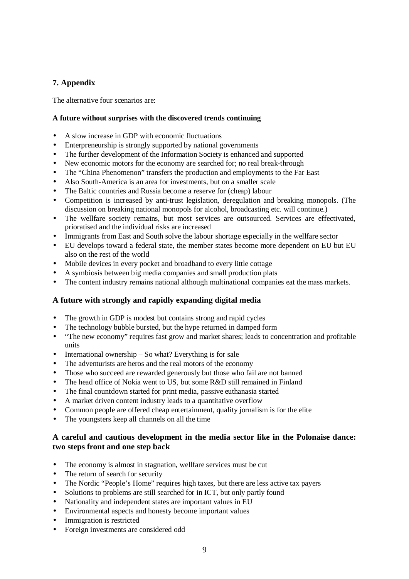## **7. Appendix**

The alternative four scenarios are:

### **A future without surprises with the discovered trends continuing**

- A slow increase in GDP with economic fluctuations
- Enterpreneurship is strongly supported by national governments
- The further development of the Information Society is enhanced and supported
- New economic motors for the economy are searched for; no real break-through
- The "China Phenomenon" transfers the production and employments to the Far East
- Also South-America is an area for investments, but on a smaller scale
- The Baltic countries and Russia become a reserve for (cheap) labour
- Competition is increased by anti-trust legislation, deregulation and breaking monopols. (The discussion on breaking national monopols for alcohol, broadcasting etc. will continue.)
- The wellfare society remains, but most services are outsourced. Services are effectivated, prioratised and the individual risks are increased
- Immigrants from East and South solve the labour shortage especially in the wellfare sector
- EU develops toward a federal state, the member states become more dependent on EU but EU also on the rest of the world
- Mobile devices in every pocket and broadband to every little cottage
- A symbiosis between big media companies and small production plats
- The content industry remains national although multinational companies eat the mass markets.

### **A future with strongly and rapidly expanding digital media**

- The growth in GDP is modest but contains strong and rapid cycles
- The technology bubble bursted, but the hype returned in damped form
- "The new economy" requires fast grow and market shares; leads to concentration and profitable units
- International ownership  $-$  So what? Everything is for sale
- The adventurists are heros and the real motors of the economy
- Those who succeed are rewarded generously but those who fail are not banned
- The head office of Nokia went to US, but some R&D still remained in Finland
- The final countdown started for print media, passive euthanasia started
- A market driven content industry leads to a quantitative overflow
- Common people are offered cheap entertainment, quality jornalism is for the elite
- The youngsters keep all channels on all the time

### **A careful and cautious development in the media sector like in the Polonaise dance: two steps front and one step back**

- The economy is almost in stagnation, well fare services must be cut
- The return of search for security
- The Nordic "People's Home" requires high taxes, but there are less active tax payers
- Solutions to problems are still searched for in ICT, but only partly found
- Nationality and independent states are important values in EU
- Environmental aspects and honesty become important values
- Immigration is restricted
- Foreign investments are considered odd